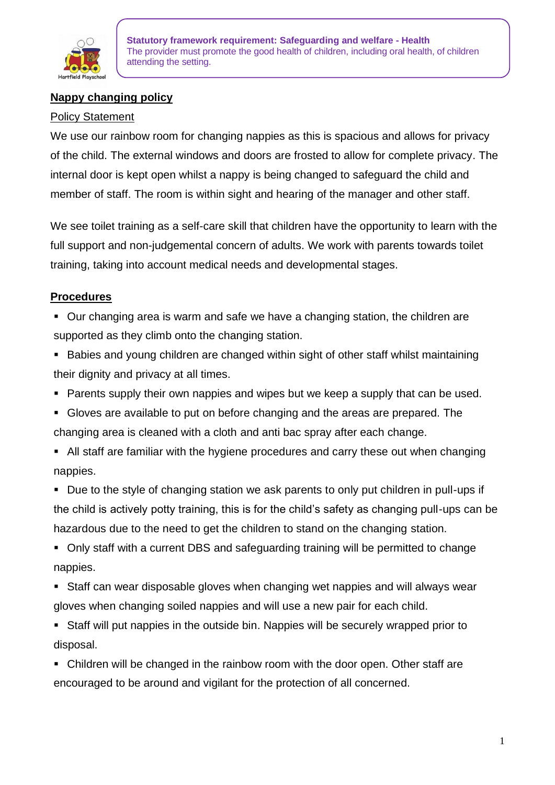

## **Nappy changing policy**

## Policy Statement

We use our rainbow room for changing nappies as this is spacious and allows for privacy of the child. The external windows and doors are frosted to allow for complete privacy. The internal door is kept open whilst a nappy is being changed to safeguard the child and member of staff. The room is within sight and hearing of the manager and other staff.

We see toilet training as a self-care skill that children have the opportunity to learn with the full support and non-judgemental concern of adults. We work with parents towards toilet training, taking into account medical needs and developmental stages.

## **Procedures**

- Our changing area is warm and safe we have a changing station, the children are supported as they climb onto the changing station.
- Babies and young children are changed within sight of other staff whilst maintaining their dignity and privacy at all times.
- Parents supply their own nappies and wipes but we keep a supply that can be used.
- Gloves are available to put on before changing and the areas are prepared. The changing area is cleaned with a cloth and anti bac spray after each change.
- All staff are familiar with the hygiene procedures and carry these out when changing nappies.

■ Due to the style of changing station we ask parents to only put children in pull-ups if the child is actively potty training, this is for the child's safety as changing pull-ups can be hazardous due to the need to get the children to stand on the changing station.

■ Only staff with a current DBS and safeguarding training will be permitted to change nappies.

- Staff can wear disposable gloves when changing wet nappies and will always wear gloves when changing soiled nappies and will use a new pair for each child.
- Staff will put nappies in the outside bin. Nappies will be securely wrapped prior to disposal.
- Children will be changed in the rainbow room with the door open. Other staff are encouraged to be around and vigilant for the protection of all concerned.